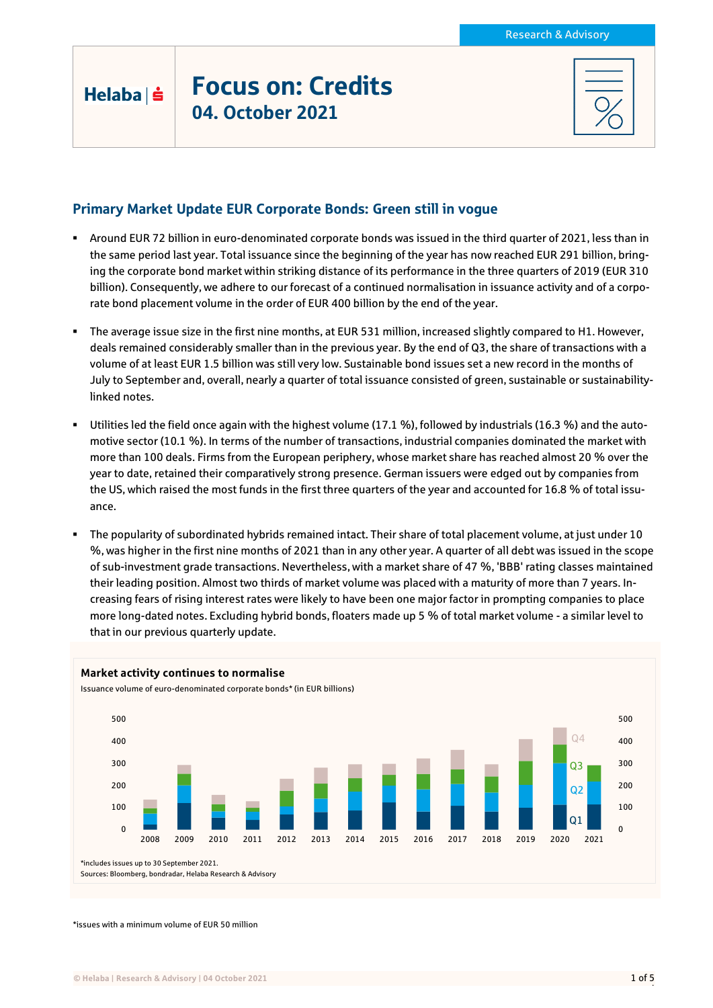| Helaba I |  |  |
|----------|--|--|

# Focus on: Credits 04. October 2021

# Primary Market Update EUR Corporate Bonds: Green still in vogue

- Around EUR 72 billion in euro-denominated corporate bonds was issued in the third quarter of 2021, less than in the same period last year. Total issuance since the beginning of the year has now reached EUR 291 billion, bringing the corporate bond market within striking distance of its performance in the three quarters of 2019 (EUR 310 billion). Consequently, we adhere to our forecast of a continued normalisation in issuance activity and of a corporate bond placement volume in the order of EUR 400 billion by the end of the year.
- The average issue size in the first nine months, at EUR 531 million, increased slightly compared to H1. However, deals remained considerably smaller than in the previous year. By the end of Q3, the share of transactions with a volume of at least EUR 1.5 billion was still very low. Sustainable bond issues set a new record in the months of July to September and, overall, nearly a quarter of total issuance consisted of green, sustainable or sustainabilitylinked notes.
- Utilities led the field once again with the highest volume (17.1 %), followed by industrials (16.3 %) and the automotive sector (10.1 %). In terms of the number of transactions, industrial companies dominated the market with more than 100 deals. Firms from the European periphery, whose market share has reached almost 20 % over the year to date, retained their comparatively strong presence. German issuers were edged out by companies from the US, which raised the most funds in the first three quarters of the year and accounted for 16.8 % of total issuance.
- The popularity of subordinated hybrids remained intact. Their share of total placement volume, at just under 10 %, was higher in the first nine months of 2021 than in any other year. A quarter of all debt was issued in the scope of sub-investment grade transactions. Nevertheless, with a market share of 47 %, 'BBB' rating classes maintained their leading position. Almost two thirds of market volume was placed with a maturity of more than 7 years. Increasing fears of rising interest rates were likely to have been one major factor in prompting companies to place more long-dated notes. Excluding hybrid bonds, floaters made up 5 % of total market volume - a similar level to that in our previous quarterly update.



\*issues with a minimum volume of EUR 50 million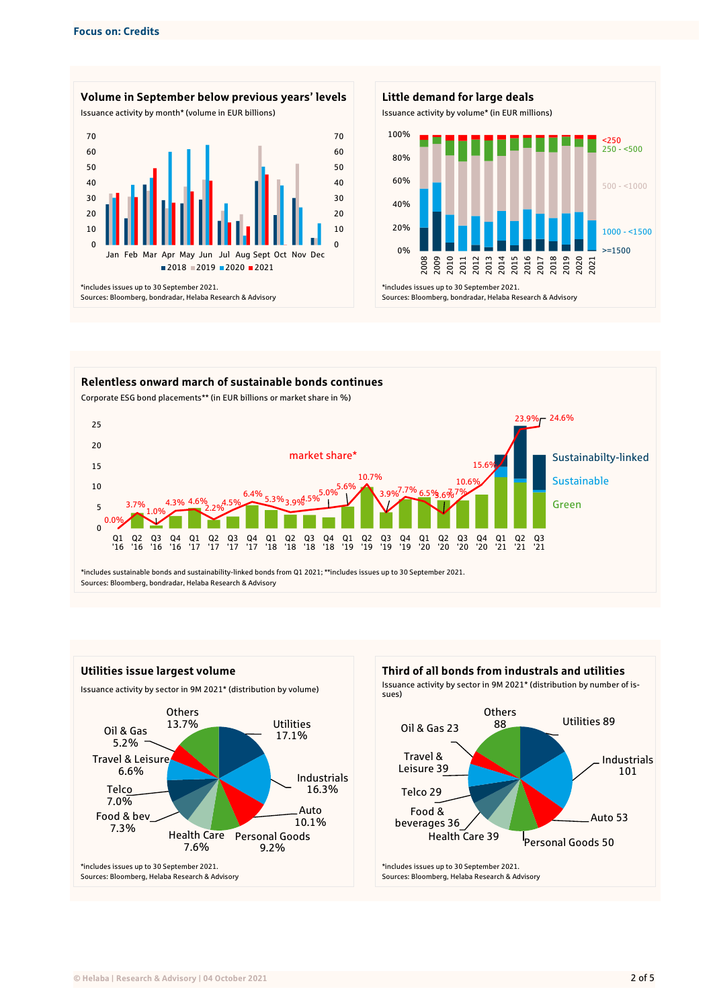









\*includes issues up to 30 September 2021. Sources: Bloomberg, Helaba Research & Advisory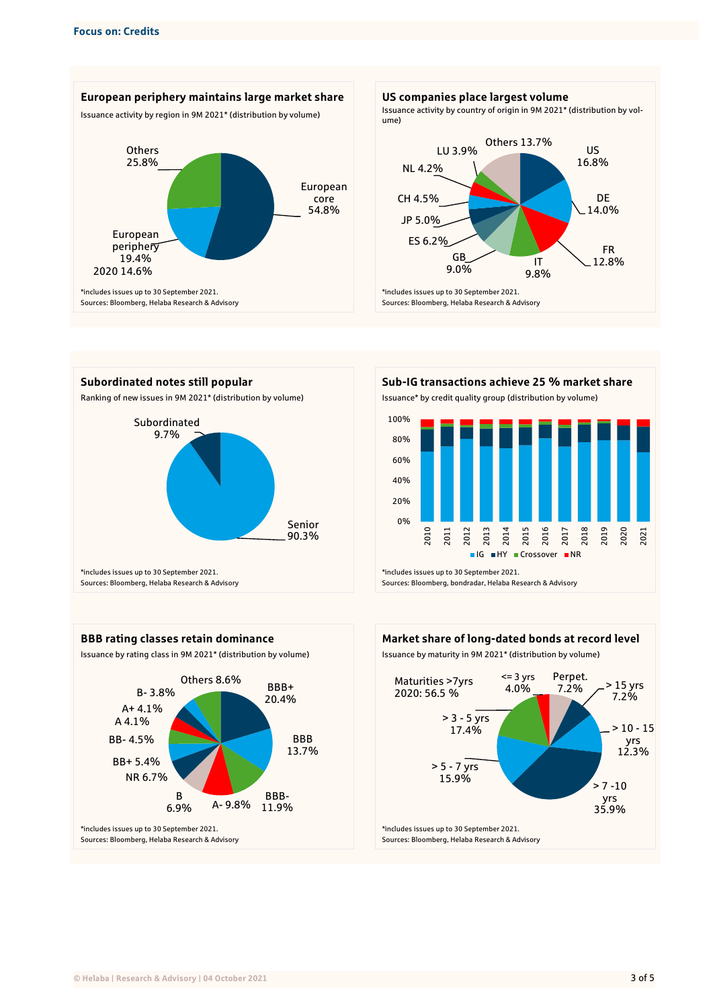











\*includes issues up to 30 September 2021. Sources: Bloomberg, Helaba Research & Advisory



 $> 7 - 10$ yrs 35.9%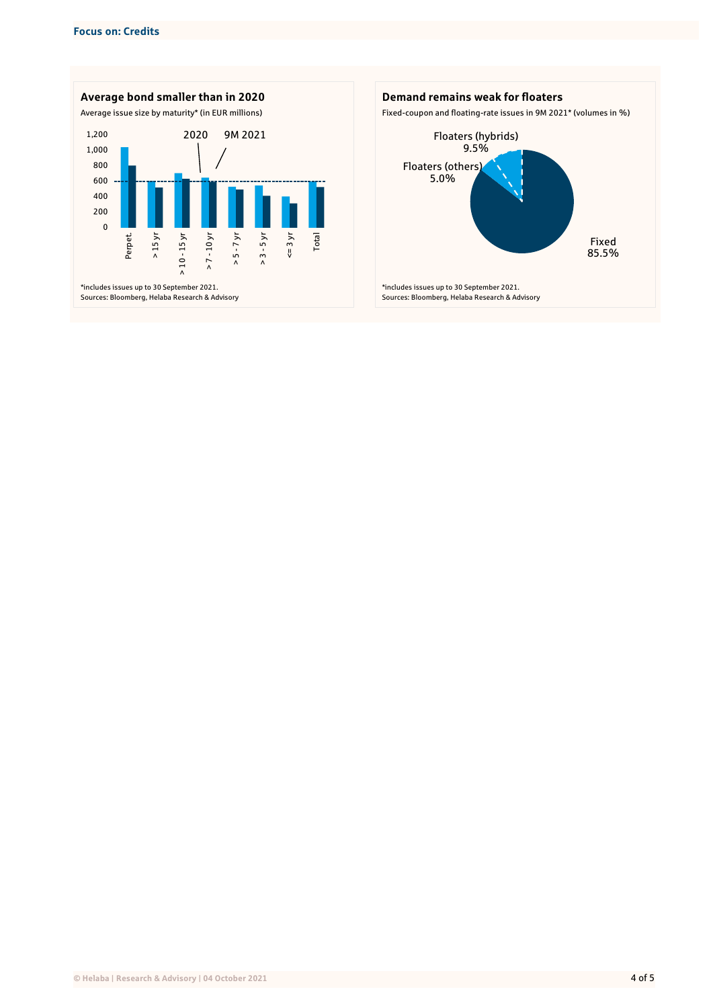